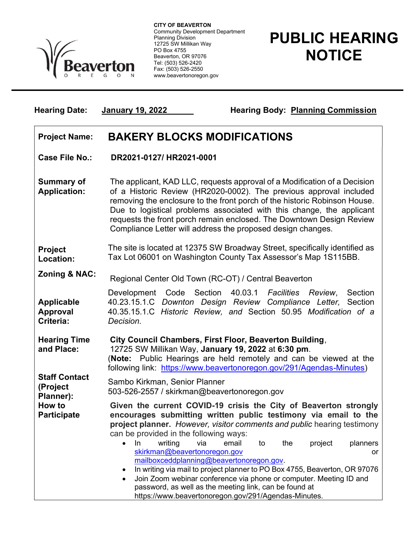

 Community Development Department CITY OF BEAVERTON Planning Division 12725 SW Millikan Way PO Box 4755 Beaverton, OR 97076 Tel: (503) 526-2420 Fax: (503) 526-2550 www.beavertonoregon.gov

Hearing Date: January 19, 2022 Hearing Body: Planning Commission

## PUBLIC HEARING **NOTICE**

Project Name: BAKERY BLOCKS MODIFICATIONS Case File No.: DR2021-0127/ HR2021-0001 Summary of Application: The applicant, KAD LLC, requests approval of a Modification of a Decision of a Historic Review (HR2020-0002). The previous approval included removing the enclosure to the front porch of the historic Robinson House. Due to logistical problems associated with this change, the applicant requests the front porch remain enclosed. The Downtown Design Review Compliance Letter will address the proposed design changes. Project Location: The site is located at 12375 SW Broadway Street, specifically identified as Tax Lot 06001 on Washington County Tax Assessor's Map 1S115BB. Zoning & NAC: Regional Center Old Town (RC-OT) / Central Beaverton Applicable Approval Criteria: Development Code Section 40.03.1 Facilities Review, Section 40.23.15.1.C Downton Design Review Compliance Letter, Section 40.35.15.1.C Historic Review, and Section 50.95 Modification of a Decision.

Hearing Time and Place: City Council Chambers, First Floor, Beaverton Building, 12725 SW Millikan Way, January 19, 2022 at 6:30 pm. (Note: Public Hearings are held remotely and can be viewed at the following link: https://www.beavertonoregon.gov/291/Agendas-Minutes) Staff Contact (Project Planner): Sambo Kirkman, Senior Planner 503-526-2557 / skirkman@beavertonoregon.gov How to **Participate** Given the current COVID-19 crisis the City of Beaverton strongly encourages submitting written public testimony via email to the project planner. However, visitor comments and public hearing testimony can be provided in the following ways: • In writing via email to the project planners skirkman@beavertonoregon.gov or mailboxceddplanning@beavertonoregon.gov. In writing via mail to project planner to PO Box 4755, Beaverton, OR 97076 Join Zoom webinar conference via phone or computer. Meeting ID and password, as well as the meeting link, can be found at

https://www.beavertonoregon.gov/291/Agendas-Minutes.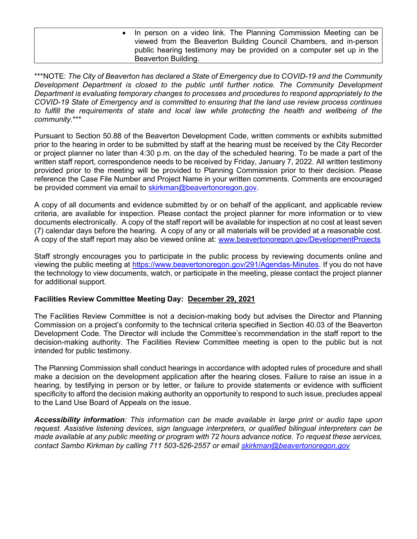In person on a video link. The Planning Commission Meeting can be viewed from the Beaverton Building Council Chambers, and in-person public hearing testimony may be provided on a computer set up in the Beaverton Building.

\*\*\*NOTE: The City of Beaverton has declared a State of Emergency due to COVID-19 and the Community Development Department is closed to the public until further notice. The Community Development Department is evaluating temporary changes to processes and procedures to respond appropriately to the COVID-19 State of Emergency and is committed to ensuring that the land use review process continues to fulfill the requirements of state and local law while protecting the health and wellbeing of the community.\*\*\*

Pursuant to Section 50.88 of the Beaverton Development Code, written comments or exhibits submitted prior to the hearing in order to be submitted by staff at the hearing must be received by the City Recorder or project planner no later than 4:30 p.m. on the day of the scheduled hearing. To be made a part of the written staff report, correspondence needs to be received by Friday, January 7, 2022. All written testimony provided prior to the meeting will be provided to Planning Commission prior to their decision. Please reference the Case File Number and Project Name in your written comments. Comments are encouraged be provided comment via email to skirkman@beavertonoregon.gov.

A copy of all documents and evidence submitted by or on behalf of the applicant, and applicable review criteria, are available for inspection. Please contact the project planner for more information or to view documents electronically. A copy of the staff report will be available for inspection at no cost at least seven (7) calendar days before the hearing. A copy of any or all materials will be provided at a reasonable cost. A copy of the staff report may also be viewed online at: www.beavertonoregon.gov/DevelopmentProjects

Staff strongly encourages you to participate in the public process by reviewing documents online and viewing the public meeting at https://www.beavertonoregon.gov/291/Agendas-Minutes. If you do not have the technology to view documents, watch, or participate in the meeting, please contact the project planner for additional support.

## Facilities Review Committee Meeting Day: December 29, 2021

The Facilities Review Committee is not a decision-making body but advises the Director and Planning Commission on a project's conformity to the technical criteria specified in Section 40.03 of the Beaverton Development Code. The Director will include the Committee's recommendation in the staff report to the decision-making authority. The Facilities Review Committee meeting is open to the public but is not intended for public testimony.

The Planning Commission shall conduct hearings in accordance with adopted rules of procedure and shall make a decision on the development application after the hearing closes. Failure to raise an issue in a hearing, by testifying in person or by letter, or failure to provide statements or evidence with sufficient specificity to afford the decision making authority an opportunity to respond to such issue, precludes appeal to the Land Use Board of Appeals on the issue.

Accessibility information: This information can be made available in large print or audio tape upon request. Assistive listening devices, sign language interpreters, or qualified bilingual interpreters can be made available at any public meeting or program with 72 hours advance notice. To request these services, contact Sambo Kirkman by calling 711 503-526-2557 or email skirkman@beavertonoregon.gov